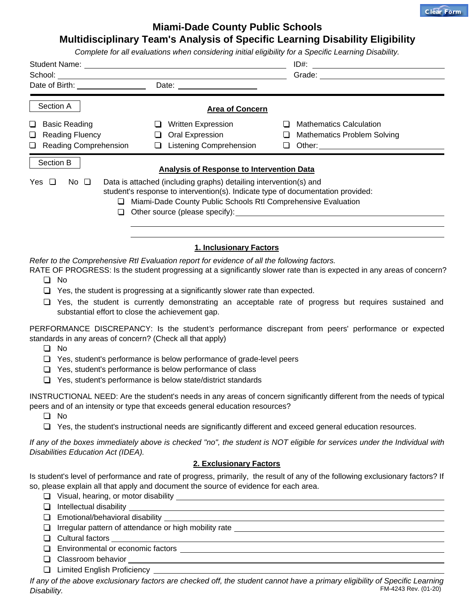

## **Miami-Dade County Public Schools**

## **Multidisciplinary Team's Analysis of Specific Learning Disability Eligibility**

|                                                                                             |                                                                               | Complete for all evaluations when considering initial eligibility for a Specific Learning Disability.                                                                                                                          |
|---------------------------------------------------------------------------------------------|-------------------------------------------------------------------------------|--------------------------------------------------------------------------------------------------------------------------------------------------------------------------------------------------------------------------------|
|                                                                                             |                                                                               | ID#:                                                                                                                                                                                                                           |
|                                                                                             |                                                                               | Grade: The Company of the Company of the Company of the Company of the Company of the Company of the Company of the Company of the Company of the Company of the Company of the Company of the Company of the Company of the C |
|                                                                                             | Date:                                                                         |                                                                                                                                                                                                                                |
| Section A                                                                                   | <b>Area of Concern</b>                                                        |                                                                                                                                                                                                                                |
| □ Basic Reading                                                                             | □ Written Expression                                                          | $\Box$ Mathematics Calculation                                                                                                                                                                                                 |
| Reading Fluency                                                                             | Oral Expression                                                               | Mathematics Problem Solving                                                                                                                                                                                                    |
| Reading Comprehension                                                                       | □ Listening Comprehension                                                     |                                                                                                                                                                                                                                |
| Section B                                                                                   |                                                                               |                                                                                                                                                                                                                                |
|                                                                                             | <b>Analysis of Response to Intervention Data</b>                              |                                                                                                                                                                                                                                |
| Yes $\Box$<br>No $\Box$                                                                     | Data is attached (including graphs) detailing intervention(s) and             | student's response to intervention(s). Indicate type of documentation provided:                                                                                                                                                |
|                                                                                             |                                                                               | Miami-Dade County Public Schools RtI Comprehensive Evaluation                                                                                                                                                                  |
|                                                                                             |                                                                               |                                                                                                                                                                                                                                |
|                                                                                             |                                                                               |                                                                                                                                                                                                                                |
|                                                                                             |                                                                               |                                                                                                                                                                                                                                |
|                                                                                             | 1. Inclusionary Factors                                                       |                                                                                                                                                                                                                                |
| Refer to the Comprehensive Rtl Evaluation report for evidence of all the following factors. |                                                                               |                                                                                                                                                                                                                                |
|                                                                                             |                                                                               | RATE OF PROGRESS: Is the student progressing at a significantly slower rate than is expected in any areas of concern?                                                                                                          |
| No<br>ப                                                                                     |                                                                               |                                                                                                                                                                                                                                |
|                                                                                             | Yes, the student is progressing at a significantly slower rate than expected. |                                                                                                                                                                                                                                |
| $\Box$<br>substantial effort to close the achievement gap.                                  |                                                                               | Yes, the student is currently demonstrating an acceptable rate of progress but requires sustained and                                                                                                                          |
| standards in any areas of concern? (Check all that apply)                                   |                                                                               | PERFORMANCE DISCREPANCY: Is the student's performance discrepant from peers' performance or expected                                                                                                                           |
| No<br>O.                                                                                    |                                                                               |                                                                                                                                                                                                                                |
| ப                                                                                           | Yes, student's performance is below performance of grade-level peers          |                                                                                                                                                                                                                                |
| ⊔                                                                                           | Yes, student's performance is below performance of class                      |                                                                                                                                                                                                                                |
| $\Box$                                                                                      | Yes, student's performance is below state/district standards                  |                                                                                                                                                                                                                                |
|                                                                                             |                                                                               | INSTRUCTIONAL NEED: Are the student's needs in any areas of concern significantly different from the needs of typical                                                                                                          |
| peers and of an intensity or type that exceeds general education resources?                 |                                                                               |                                                                                                                                                                                                                                |
| No<br>ப                                                                                     |                                                                               |                                                                                                                                                                                                                                |
| $\Box$                                                                                      |                                                                               | Yes, the student's instructional needs are significantly different and exceed general education resources.                                                                                                                     |
| Disabilities Education Act (IDEA).                                                          |                                                                               | If any of the boxes immediately above is checked "no", the student is NOT eligible for services under the Individual with                                                                                                      |
|                                                                                             | 2. Exclusionary Factors                                                       |                                                                                                                                                                                                                                |
|                                                                                             |                                                                               | Is student's level of performance and rate of progress, primarily, the result of any of the following exclusionary factors? If                                                                                                 |

so, please explain all that apply and document the source of evidence for each area.

- Visual, hearing, or motor disability
- $\Box$  Intellectual disability  $\Box$
- **Emotional/behavioral disability**
- **I** Irregular pattern of attendance or high mobility rate
- $\Box$  Cultural factors
- Environmental or economic factors
- Classroom behavior
- Limited English Proficiency

FM-4243 Rev. (01-20) *If any of the above exclusionary factors are checked off, the student cannot have a primary eligibility of Specific Learning Disability.*